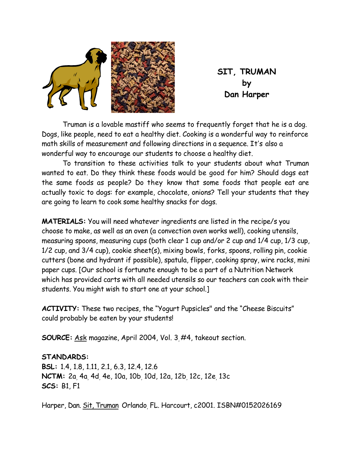

**SIT, TRUMAN by Dan Harper** 

 Truman is a lovable mastiff who seems to frequently forget that he is a dog. Dogs, like people, need to eat a healthy diet. Cooking is a wonderful way to reinforce math skills of measurement and following directions in a sequence. It's also a wonderful way to encourage our students to choose a healthy diet.

 To transition to these activities talk to your students about what Truman wanted to eat. Do they think these foods would be good for him? Should dogs eat the same foods as people? Do they know that some foods that people eat are actually toxic to dogs: for example, chocolate, onions? Tell your students that they are going to learn to cook some healthy snacks for dogs.

**MATERIALS:** You will need whatever ingredients are listed in the recipe/s you choose to make, as well as an oven (a convection oven works well), cooking utensils, measuring spoons, measuring cups (both clear 1 cup and/or 2 cup and 1/4 cup, 1/3 cup, 1/2 cup, and 3/4 cup), cookie sheet(s), mixing bowls, forks, spoons, rolling pin, cookie cutters (bone and hydrant if possible), spatula, flipper, cooking spray, wire racks, mini paper cups. [Our school is fortunate enough to be a part of a Nutrition Network which has provided carts with all needed utensils so our teachers can cook with their students. You might wish to start one at your school.]

**ACTIVITY:** These two recipes, the "Yogurt Pupsicles" and the "Cheese Biscuits" could probably be eaten by your students!

**SOURCE:** Ask magazine, April 2004, Vol. 3, #4, takeout section.

**STANDARDS:** 

**BSL:** 1.4, 1.8, 1.11, 2.1, 6.3, 12.4, 12.6 **NCTM:** 2a, 4a, 4d, 4e, 10a, 10b, 10d, 12a, 12b, 12c, 12e, 13c **SCS:** B1, F1

Harper, Dan. Sit, Truman Orlando, FL. Harcourt, c2001. ISBN#0152026169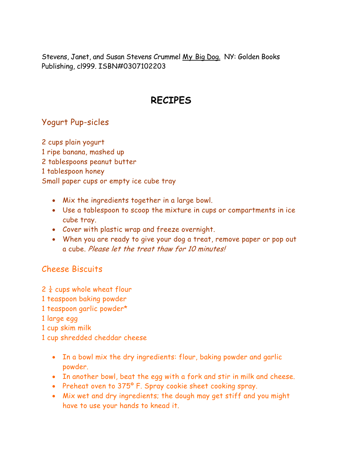Stevens, Janet, and Susan Stevens Crummel My Big Dog. NY: Golden Books Publishing, cl999. ISBN#0307102203

## **RECIPES**

## Yogurt Pup-sicles

2 cups plain yogurt 1 ripe banana, mashed up 2 tablespoons peanut butter 1 tablespoon honey Small paper cups or empty ice cube tray

- Mix the ingredients together in a large bowl.
- Use a tablespoon to scoop the mixture in cups or compartments in ice cube tray.
- Cover with plastic wrap and freeze overnight.
- When you are ready to give your dog a treat, remove paper or pop out a cube. Please let the treat thaw for 10 minutes!

## Cheese Biscuits

 $2\frac{1}{4}$  cups whole wheat flour

- 1 teaspoon baking powder
- 1 teaspoon garlic powder\*

1 large egg

1 cup skim milk

1 cup shredded cheddar cheese

- In a bowl mix the dry ingredients: flour, baking powder and garlic powder.
- In another bowl, beat the egg with a fork and stir in milk and cheese.
- Preheat oven to 375º F. Spray cookie sheet cooking spray.
- Mix wet and dry ingredients; the dough may get stiff and you might have to use your hands to knead it.